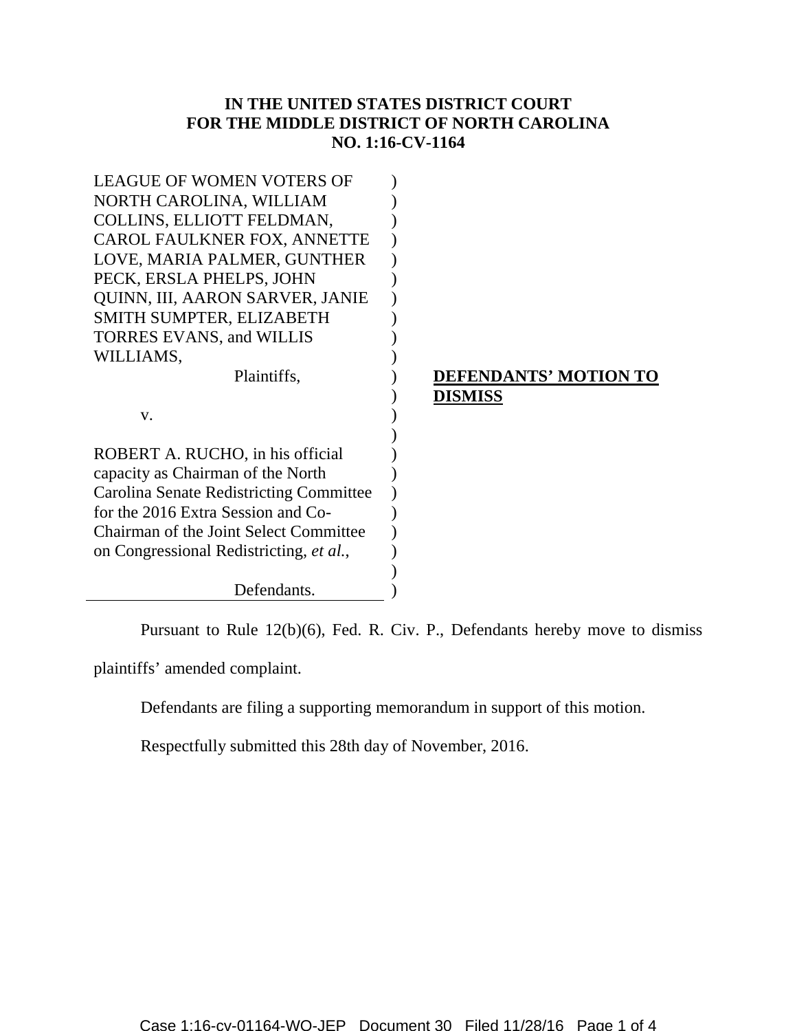# **IN THE UNITED STATES DISTRICT COURT FOR THE MIDDLE DISTRICT OF NORTH CAROLINA NO. 1:16-CV-1164**

| <b>LEAGUE OF WOMEN VOTERS OF</b>              |                              |
|-----------------------------------------------|------------------------------|
| NORTH CAROLINA, WILLIAM                       |                              |
| COLLINS, ELLIOTT FELDMAN,                     |                              |
| <b>CAROL FAULKNER FOX, ANNETTE</b>            |                              |
| LOVE, MARIA PALMER, GUNTHER                   |                              |
| PECK, ERSLA PHELPS, JOHN                      |                              |
| <b>QUINN, III, AARON SARVER, JANIE</b>        |                              |
| SMITH SUMPTER, ELIZABETH                      |                              |
| <b>TORRES EVANS, and WILLIS</b>               |                              |
| WILLIAMS,                                     |                              |
| Plaintiffs,                                   | <b>DEFENDANTS' MOTION TO</b> |
|                                               | <b>DISMISS</b>               |
|                                               |                              |
| V.                                            |                              |
|                                               |                              |
| ROBERT A. RUCHO, in his official              |                              |
| capacity as Chairman of the North             |                              |
| Carolina Senate Redistricting Committee       |                              |
| for the 2016 Extra Session and Co-            |                              |
| <b>Chairman of the Joint Select Committee</b> |                              |
| on Congressional Redistricting, et al.,       |                              |
|                                               |                              |

Pursuant to Rule 12(b)(6), Fed. R. Civ. P., Defendants hereby move to dismiss

plaintiffs' amended complaint.

Defendants are filing a supporting memorandum in support of this motion.

Respectfully submitted this 28th day of November, 2016.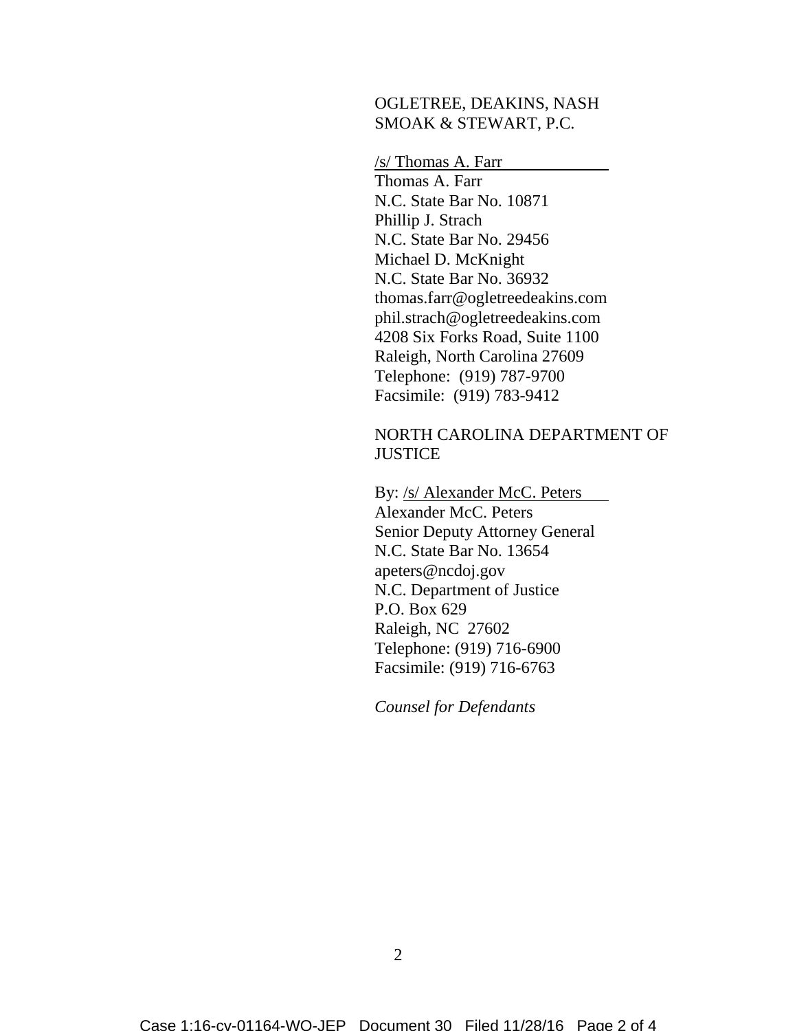#### OGLETREE, DEAKINS, NASH SMOAK & STEWART, P.C.

/s/ Thomas A. Farr Thomas A. Farr N.C. State Bar No. 10871 Phillip J. Strach N.C. State Bar No. 29456 Michael D. McKnight N.C. State Bar No. 36932 thomas.farr@ogletreedeakins.com phil.strach@ogletreedeakins.com 4208 Six Forks Road, Suite 1100 Raleigh, North Carolina 27609 Telephone: (919) 787-9700 Facsimile: (919) 783-9412

#### NORTH CAROLINA DEPARTMENT OF **JUSTICE**

By: /s/ Alexander McC. Peters Alexander McC. Peters Senior Deputy Attorney General N.C. State Bar No. 13654 apeters@ncdoj.gov N.C. Department of Justice P.O. Box 629 Raleigh, NC 27602 Telephone: (919) 716-6900 Facsimile: (919) 716-6763

*Counsel for Defendants*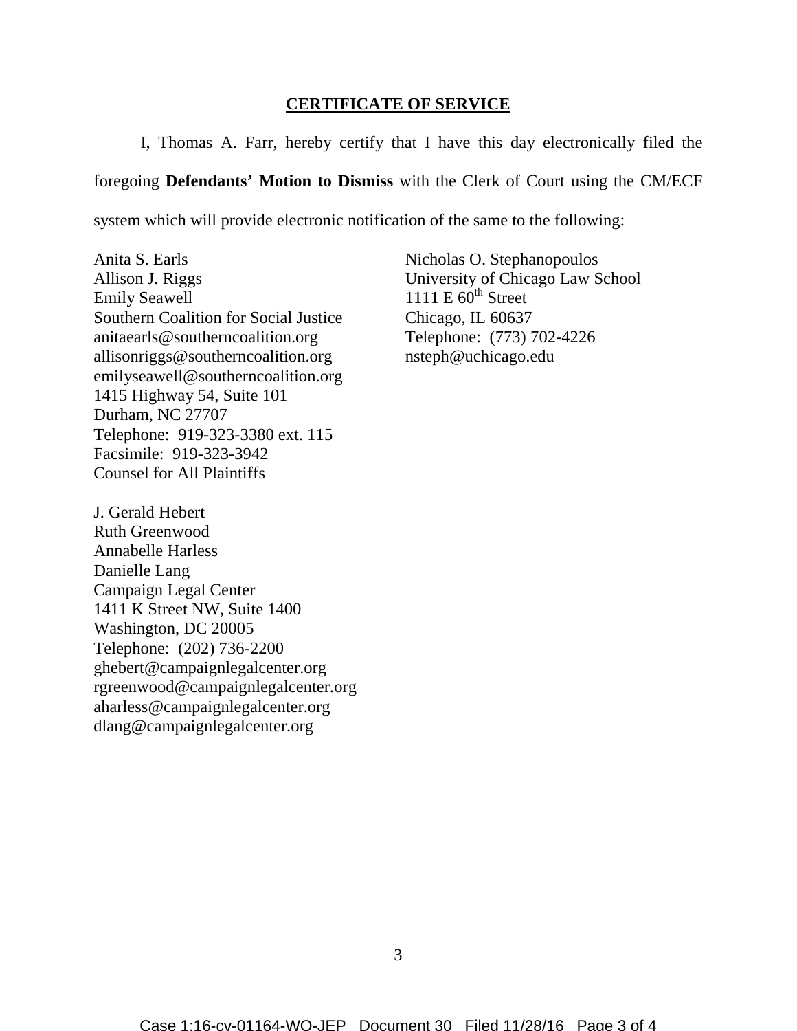## **CERTIFICATE OF SERVICE**

I, Thomas A. Farr, hereby certify that I have this day electronically filed the

foregoing **Defendants' Motion to Dismiss** with the Clerk of Court using the CM/ECF

system which will provide electronic notification of the same to the following:

Anita S. Earls Allison J. Riggs Emily Seawell Southern Coalition for Social Justice anitaearls@southerncoalition.org allisonriggs@southerncoalition.org emilyseawell@southerncoalition.org 1415 Highway 54, Suite 101 Durham, NC 27707 Telephone: 919-323-3380 ext. 115 Facsimile: 919-323-3942 Counsel for All Plaintiffs

J. Gerald Hebert Ruth Greenwood Annabelle Harless Danielle Lang Campaign Legal Center 1411 K Street NW, Suite 1400 Washington, DC 20005 Telephone: (202) 736-2200 ghebert@campaignlegalcenter.org rgreenwood@campaignlegalcenter.org aharless@campaignlegalcenter.org dlang@campaignlegalcenter.org

Nicholas O. Stephanopoulos University of Chicago Law School 1111 E  $60^{\text{th}}$  Street Chicago, IL 60637 Telephone: (773) 702-4226 nsteph@uchicago.edu